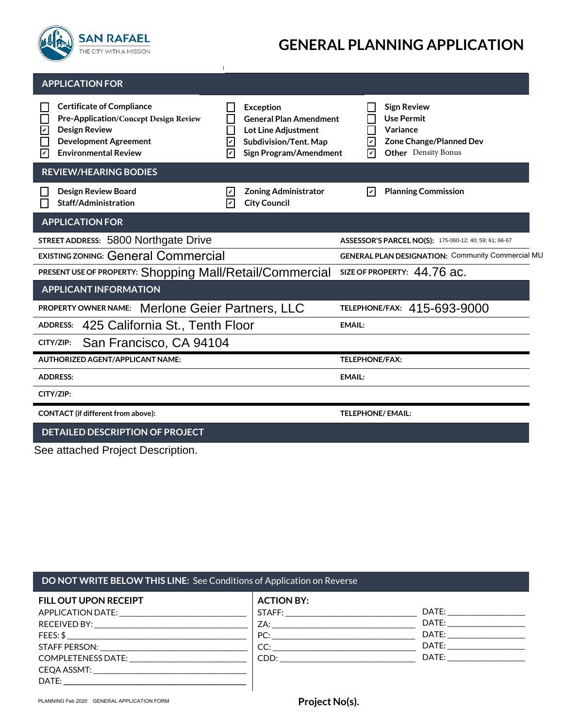

# **GENERAL PLANNING APPLICATION**

| <b>APPLICATION FOR</b>                                                                                                                                                                                                  |                                                                                                                                        |                                                                                                                                              |  |
|-------------------------------------------------------------------------------------------------------------------------------------------------------------------------------------------------------------------------|----------------------------------------------------------------------------------------------------------------------------------------|----------------------------------------------------------------------------------------------------------------------------------------------|--|
| <b>Certificate of Compliance</b><br>I.<br><b>Pre-Application/Concept Design Review</b><br>$\mathbf v$<br><b>Design Review</b><br><b>Development Agreement</b><br>$\overline{\mathsf{v}}$<br><b>Environmental Review</b> | <b>Exception</b><br><b>General Plan Amendment</b><br>Lot Line Adjustment<br>Subdivision/Tent. Map<br>l۳<br>Sign Program/Amendment<br>V | <b>Sign Review</b><br><b>Use Permit</b><br>Variance<br>$\overline{\mathbf{v}}$<br>Zone Change/Planned Dev<br>☑<br><b>Other</b> Density Bonus |  |
| <b>REVIEW/HEARING BODIES</b>                                                                                                                                                                                            |                                                                                                                                        |                                                                                                                                              |  |
| <b>Design Review Board</b><br><b>Staff/Administration</b>                                                                                                                                                               | <b>Zoning Administrator</b><br>Ιv<br><b>City Council</b><br>Ιv                                                                         | ☑<br><b>Planning Commission</b>                                                                                                              |  |
| <b>APPLICATION FOR</b>                                                                                                                                                                                                  |                                                                                                                                        |                                                                                                                                              |  |
| STREET ADDRESS: 5800 Northgate Drive                                                                                                                                                                                    |                                                                                                                                        | ASSESSOR'S PARCEL NO(S): 175-060-12; 40; 59; 61; 66-67                                                                                       |  |
| <b>EXISTING ZONING: General Commercial</b>                                                                                                                                                                              |                                                                                                                                        | <b>GENERAL PLAN DESIGNATION: Community Commercial MU</b>                                                                                     |  |
| PRESENT USE OF PROPERTY: Shopping Mall/Retail/Commercial                                                                                                                                                                |                                                                                                                                        | SIZE OF PROPERTY: 44.76 ac.                                                                                                                  |  |
| <b>APPLICANT INFORMATION</b>                                                                                                                                                                                            |                                                                                                                                        |                                                                                                                                              |  |
| <b>Merlone Geier Partners, LLC</b><br><b>PROPERTY OWNER NAME:</b>                                                                                                                                                       |                                                                                                                                        | <b>TELEPHONE/FAX: 415-693-9000</b>                                                                                                           |  |
| 425 California St., Tenth Floor<br><b>ADDRESS:</b>                                                                                                                                                                      |                                                                                                                                        | <b>EMAIL:</b>                                                                                                                                |  |
| San Francisco, CA 94104<br>CITY/ZIP:                                                                                                                                                                                    |                                                                                                                                        |                                                                                                                                              |  |
| <b>AUTHORIZED AGENT/APPLICANT NAME:</b>                                                                                                                                                                                 |                                                                                                                                        | <b>TELEPHONE/FAX:</b>                                                                                                                        |  |
| <b>ADDRESS:</b>                                                                                                                                                                                                         |                                                                                                                                        | <b>EMAIL:</b>                                                                                                                                |  |
| CITY/ZIP:                                                                                                                                                                                                               |                                                                                                                                        |                                                                                                                                              |  |
| CONTACT (if different from above):                                                                                                                                                                                      |                                                                                                                                        | <b>TELEPHONE/ EMAIL:</b>                                                                                                                     |  |
| <b>DETAILED DESCRIPTION OF PROJECT</b>                                                                                                                                                                                  |                                                                                                                                        |                                                                                                                                              |  |

 $\mathbf{I}$ 

#### **DO NOT WRITE BELOW THIS LINE:** See Conditions of Application on Reverse

| FILL OUT UPON RECEIPT                   | <b>ACTION BY:</b> |                                                                                                                                                                                                                                |
|-----------------------------------------|-------------------|--------------------------------------------------------------------------------------------------------------------------------------------------------------------------------------------------------------------------------|
| APPLICATION DATE: APPLICATION           |                   | DATE: ________________                                                                                                                                                                                                         |
|                                         | ZA:               | DATE: the contract of the contract of the contract of the contract of the contract of the contract of the contract of the contract of the contract of the contract of the contract of the contract of the contract of the cont |
|                                         | PC:               | DATE: _______________                                                                                                                                                                                                          |
|                                         | CC:               | DATE: the contract of the contract of the contract of the contract of the contract of the contract of the contract of the contract of the contract of the contract of the contract of the contract of the contract of the cont |
| COMPLETENESS DATE: ____________________ |                   | DATE: and the state of the state of the state of the state of the state of the state of the state of the state of the state of the state of the state of the state of the state of the state of the state of the state of the  |
|                                         |                   |                                                                                                                                                                                                                                |
|                                         |                   |                                                                                                                                                                                                                                |

 $\overline{\phantom{a}}$ 

See attached Project Description.

**Project No(s).**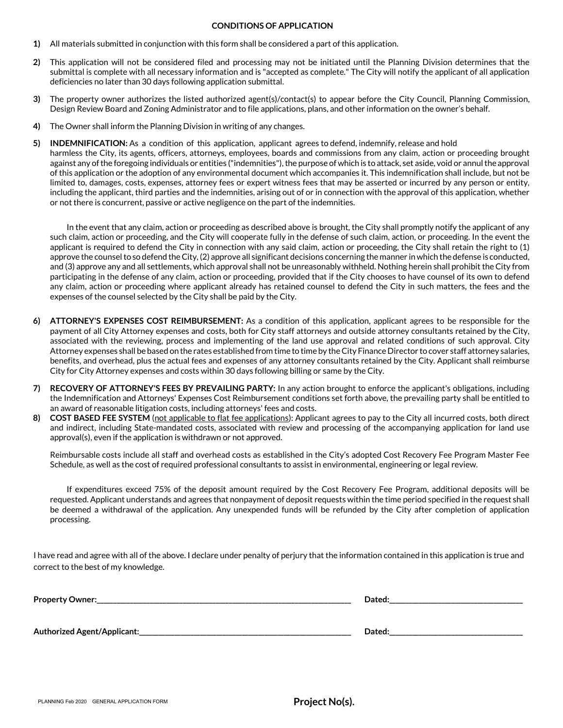#### **CONDITIONS OF APPLICATION**

- **1)** All materials submitted in conjunction with this form shall be considered a part of this application.
- **2)** This application will not be considered filed and processing may not be initiated until the Planning Division determines that the submittal is complete with all necessary information and is "accepted as complete." The City will notify the applicant of all application deficiencies no later than 30 days following application submittal.
- **3)** The property owner authorizes the listed authorized agent(s)/contact(s) to appear before the City Council, Planning Commission, Design Review Board and Zoning Administrator and to file applications, plans, and other information on the owner's behalf.
- **4)** The Owner shall inform the Planning Division in writing of any changes.
- **5) INDEMNIFICATION:** As a condition of this application, applicant agrees to defend, indemnify, release and hold harmless the City, its agents, officers, attorneys, employees, boards and commissions from any claim, action or proceeding brought against any of the foregoing individuals or entities ("indemnities"), the purpose of which is to attack, set aside, void or annul the approval of this application or the adoption of any environmental document which accompanies it. This indemnification shall include, but not be limited to, damages, costs, expenses, attorney fees or expert witness fees that may be asserted or incurred by any person or entity, including the applicant, third parties and the indemnities, arising out of or in connection with the approval of this application, whether or not there is concurrent, passive or active negligence on the part of the indemnities.

In the event that any claim, action or proceeding as described above is brought, the City shall promptly notify the applicant of any such claim, action or proceeding, and the City will cooperate fully in the defense of such claim, action, or proceeding. In the event the applicant is required to defend the City in connection with any said claim, action or proceeding, the City shall retain the right to (1) approve the counsel to so defend the City, (2) approve all significant decisions concerning the manner in which the defense is conducted, and (3) approve any and all settlements, which approval shall not be unreasonably withheld. Nothing herein shall prohibit theCity from participating in the defense of any claim, action or proceeding, provided that if the City chooses to have counsel of its own to defend any claim, action or proceeding where applicant already has retained counsel to defend the City in such matters, the fees and the expenses of the counsel selected by the City shall be paid by the City.

- **6) ATTORNEY'S EXPENSES COST REIMBURSEMENT:** As a condition of this application, applicant agrees to be responsible for the payment of all City Attorney expenses and costs, both for City staff attorneys and outside attorney consultants retained by the City, associated with the reviewing, process and implementing of the land use approval and related conditions of such approval. City Attorney expenses shall be based on the rates established from time to time by the City Finance Director to cover staff attorney salaries, benefits, and overhead, plus the actual fees and expenses of any attorney consultants retained by the City. Applicant shall reimburse City for City Attorney expenses and costs within 30 days following billing or same by the City.
- **7) RECOVERY OF ATTORNEY'S FEES BY PREVAILING PARTY:** In any action brought to enforce the applicant's obligations, including the Indemnification and Attorneys' Expenses Cost Reimbursement conditions set forth above, the prevailing party shall be entitled to an award of reasonable litigation costs, including attorneys' fees and costs.
- **8) COST BASED FEE SYSTEM** (not applicable to flat fee applications): Applicant agrees to pay to the City all incurred costs, both direct and indirect, including State-mandated costs, associated with review and processing of the accompanying application for land use approval(s), even if the application is withdrawn or not approved.

Reimbursable costs include all staff and overhead costs as established in the City's adopted Cost Recovery Fee Program Master Fee Schedule, as well as the cost of required professional consultants to assist in environmental, engineering or legal review.

If expenditures exceed 75% of the deposit amount required by the Cost Recovery Fee Program, additional deposits will be requested. Applicant understands and agrees that nonpayment of deposit requests within the time period specified in the request shall be deemed a withdrawal of the application. Any unexpended funds will be refunded by the City after completion of application processing.

I have read and agree with all of the above. I declare under penalty of perjury that the information contained in this application is true and correct to the best of my knowledge.

| <b>Property Owner:</b>      | Dated  |
|-----------------------------|--------|
|                             |        |
| Authorized Agent/Applicant: | Dated. |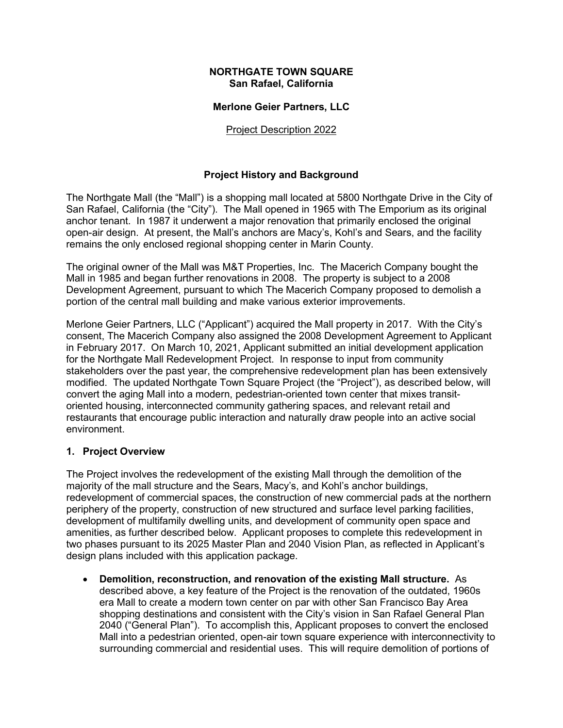#### **NORTHGATE TOWN SQUARE San Rafael, California**

#### **Merlone Geier Partners, LLC**

#### Project Description 2022

#### **Project History and Background**

The Northgate Mall (the "Mall") is a shopping mall located at 5800 Northgate Drive in the City of San Rafael, California (the "City"). The Mall opened in 1965 with The Emporium as its original anchor tenant. In 1987 it underwent a major renovation that primarily enclosed the original open-air design. At present, the Mall's anchors are Macy's, Kohl's and Sears, and the facility remains the only enclosed regional shopping center in Marin County.

The original owner of the Mall was M&T Properties, Inc. The Macerich Company bought the Mall in 1985 and began further renovations in 2008. The property is subject to a 2008 Development Agreement, pursuant to which The Macerich Company proposed to demolish a portion of the central mall building and make various exterior improvements.

Merlone Geier Partners, LLC ("Applicant") acquired the Mall property in 2017. With the City's consent, The Macerich Company also assigned the 2008 Development Agreement to Applicant in February 2017. On March 10, 2021, Applicant submitted an initial development application for the Northgate Mall Redevelopment Project. In response to input from community stakeholders over the past year, the comprehensive redevelopment plan has been extensively modified. The updated Northgate Town Square Project (the "Project"), as described below, will convert the aging Mall into a modern, pedestrian-oriented town center that mixes transitoriented housing, interconnected community gathering spaces, and relevant retail and restaurants that encourage public interaction and naturally draw people into an active social environment.

#### **1. Project Overview**

The Project involves the redevelopment of the existing Mall through the demolition of the majority of the mall structure and the Sears, Macy's, and Kohl's anchor buildings, redevelopment of commercial spaces, the construction of new commercial pads at the northern periphery of the property, construction of new structured and surface level parking facilities, development of multifamily dwelling units, and development of community open space and amenities, as further described below. Applicant proposes to complete this redevelopment in two phases pursuant to its 2025 Master Plan and 2040 Vision Plan, as reflected in Applicant's design plans included with this application package.

• **Demolition, reconstruction, and renovation of the existing Mall structure.** As described above, a key feature of the Project is the renovation of the outdated, 1960s era Mall to create a modern town center on par with other San Francisco Bay Area shopping destinations and consistent with the City's vision in San Rafael General Plan 2040 ("General Plan"). To accomplish this, Applicant proposes to convert the enclosed Mall into a pedestrian oriented, open-air town square experience with interconnectivity to surrounding commercial and residential uses. This will require demolition of portions of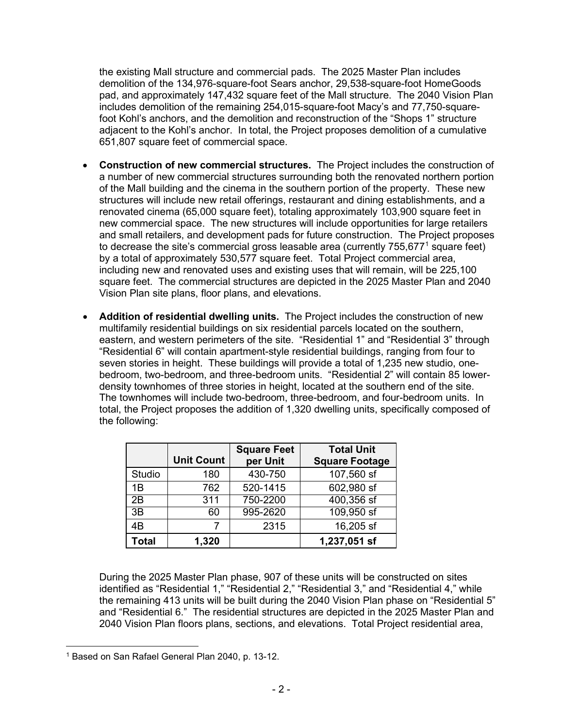the existing Mall structure and commercial pads. The 2025 Master Plan includes demolition of the 134,976-square-foot Sears anchor, 29,538-square-foot HomeGoods pad, and approximately 147,432 square feet of the Mall structure. The 2040 Vision Plan includes demolition of the remaining 254,015-square-foot Macy's and 77,750-squarefoot Kohl's anchors, and the demolition and reconstruction of the "Shops 1" structure adjacent to the Kohl's anchor. In total, the Project proposes demolition of a cumulative 651,807 square feet of commercial space.

- **Construction of new commercial structures.** The Project includes the construction of a number of new commercial structures surrounding both the renovated northern portion of the Mall building and the cinema in the southern portion of the property. These new structures will include new retail offerings, restaurant and dining establishments, and a renovated cinema (65,000 square feet), totaling approximately 103,900 square feet in new commercial space. The new structures will include opportunities for large retailers and small retailers, and development pads for future construction. The Project proposes to decrease the site's commercial gross leasable area (currently  $755,677<sup>1</sup>$  $755,677<sup>1</sup>$  $755,677<sup>1</sup>$  square feet) by a total of approximately 530,577 square feet. Total Project commercial area, including new and renovated uses and existing uses that will remain, will be 225,100 square feet. The commercial structures are depicted in the 2025 Master Plan and 2040 Vision Plan site plans, floor plans, and elevations.
- **Addition of residential dwelling units.** The Project includes the construction of new multifamily residential buildings on six residential parcels located on the southern, eastern, and western perimeters of the site. "Residential 1" and "Residential 3" through "Residential 6" will contain apartment-style residential buildings, ranging from four to seven stories in height. These buildings will provide a total of 1,235 new studio, onebedroom, two-bedroom, and three-bedroom units. "Residential 2" will contain 85 lowerdensity townhomes of three stories in height, located at the southern end of the site. The townhomes will include two-bedroom, three-bedroom, and four-bedroom units. In total, the Project proposes the addition of 1,320 dwelling units, specifically composed of the following:

|              | <b>Unit Count</b> | <b>Square Feet</b><br>per Unit | <b>Total Unit</b><br><b>Square Footage</b> |
|--------------|-------------------|--------------------------------|--------------------------------------------|
| Studio       | 180               | 430-750                        | 107,560 sf                                 |
| 1B           | 762               | 520-1415                       | 602,980 sf                                 |
| 2B           | 311               | 750-2200                       | $400,356$ sf                               |
| 3B           | 60                | 995-2620                       | $109,950$ sf                               |
| 4B           |                   | 2315                           | 16,205 sf                                  |
| <b>Total</b> | 1,320             |                                | 1,237,051 sf                               |

During the 2025 Master Plan phase, 907 of these units will be constructed on sites identified as "Residential 1," "Residential 2," "Residential 3," and "Residential 4," while the remaining 413 units will be built during the 2040 Vision Plan phase on "Residential 5" and "Residential 6." The residential structures are depicted in the 2025 Master Plan and 2040 Vision Plan floors plans, sections, and elevations. Total Project residential area,

<span id="page-3-0"></span><sup>1</sup> Based on San Rafael General Plan 2040, p. 13-12.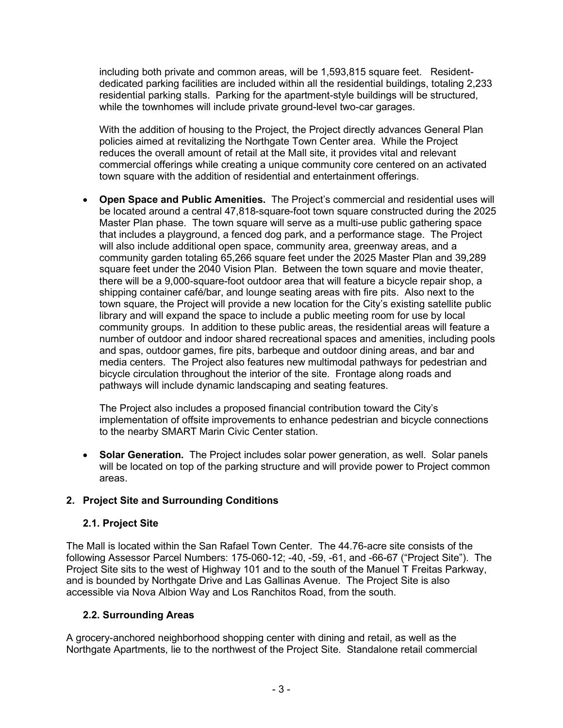including both private and common areas, will be 1,593,815 square feet. Residentdedicated parking facilities are included within all the residential buildings, totaling 2,233 residential parking stalls. Parking for the apartment-style buildings will be structured, while the townhomes will include private ground-level two-car garages.

With the addition of housing to the Project, the Project directly advances General Plan policies aimed at revitalizing the Northgate Town Center area. While the Project reduces the overall amount of retail at the Mall site, it provides vital and relevant commercial offerings while creating a unique community core centered on an activated town square with the addition of residential and entertainment offerings.

• **Open Space and Public Amenities.** The Project's commercial and residential uses will be located around a central 47,818-square-foot town square constructed during the 2025 Master Plan phase. The town square will serve as a multi-use public gathering space that includes a playground, a fenced dog park, and a performance stage. The Project will also include additional open space, community area, greenway areas, and a community garden totaling 65,266 square feet under the 2025 Master Plan and 39,289 square feet under the 2040 Vision Plan. Between the town square and movie theater, there will be a 9,000-square-foot outdoor area that will feature a bicycle repair shop, a shipping container café/bar, and lounge seating areas with fire pits. Also next to the town square, the Project will provide a new location for the City's existing satellite public library and will expand the space to include a public meeting room for use by local community groups. In addition to these public areas, the residential areas will feature a number of outdoor and indoor shared recreational spaces and amenities, including pools and spas, outdoor games, fire pits, barbeque and outdoor dining areas, and bar and media centers. The Project also features new multimodal pathways for pedestrian and bicycle circulation throughout the interior of the site. Frontage along roads and pathways will include dynamic landscaping and seating features.

The Project also includes a proposed financial contribution toward the City's implementation of offsite improvements to enhance pedestrian and bicycle connections to the nearby SMART Marin Civic Center station.

• **Solar Generation.** The Project includes solar power generation, as well. Solar panels will be located on top of the parking structure and will provide power to Project common areas.

### **2. Project Site and Surrounding Conditions**

#### **2.1. Project Site**

The Mall is located within the San Rafael Town Center. The 44.76-acre site consists of the following Assessor Parcel Numbers: 175-060-12; -40, -59, -61, and -66-67 ("Project Site"). The Project Site sits to the west of Highway 101 and to the south of the Manuel T Freitas Parkway, and is bounded by Northgate Drive and Las Gallinas Avenue. The Project Site is also accessible via Nova Albion Way and Los Ranchitos Road, from the south.

### **2.2. Surrounding Areas**

A grocery-anchored neighborhood shopping center with dining and retail, as well as the Northgate Apartments, lie to the northwest of the Project Site. Standalone retail commercial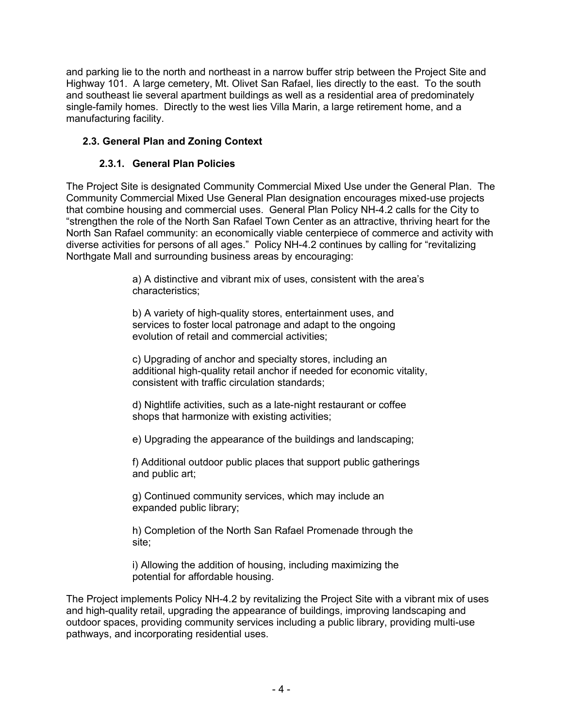and parking lie to the north and northeast in a narrow buffer strip between the Project Site and Highway 101. A large cemetery, Mt. Olivet San Rafael, lies directly to the east. To the south and southeast lie several apartment buildings as well as a residential area of predominately single-family homes. Directly to the west lies Villa Marin, a large retirement home, and a manufacturing facility.

### **2.3. General Plan and Zoning Context**

### **2.3.1. General Plan Policies**

The Project Site is designated Community Commercial Mixed Use under the General Plan. The Community Commercial Mixed Use General Plan designation encourages mixed-use projects that combine housing and commercial uses. General Plan Policy NH-4.2 calls for the City to "strengthen the role of the North San Rafael Town Center as an attractive, thriving heart for the North San Rafael community: an economically viable centerpiece of commerce and activity with diverse activities for persons of all ages." Policy NH-4.2 continues by calling for "revitalizing Northgate Mall and surrounding business areas by encouraging:

> a) A distinctive and vibrant mix of uses, consistent with the area's characteristics;

b) A variety of high-quality stores, entertainment uses, and services to foster local patronage and adapt to the ongoing evolution of retail and commercial activities;

c) Upgrading of anchor and specialty stores, including an additional high-quality retail anchor if needed for economic vitality, consistent with traffic circulation standards;

d) Nightlife activities, such as a late-night restaurant or coffee shops that harmonize with existing activities;

e) Upgrading the appearance of the buildings and landscaping;

f) Additional outdoor public places that support public gatherings and public art;

g) Continued community services, which may include an expanded public library;

h) Completion of the North San Rafael Promenade through the site;

i) Allowing the addition of housing, including maximizing the potential for affordable housing.

The Project implements Policy NH-4.2 by revitalizing the Project Site with a vibrant mix of uses and high-quality retail, upgrading the appearance of buildings, improving landscaping and outdoor spaces, providing community services including a public library, providing multi-use pathways, and incorporating residential uses.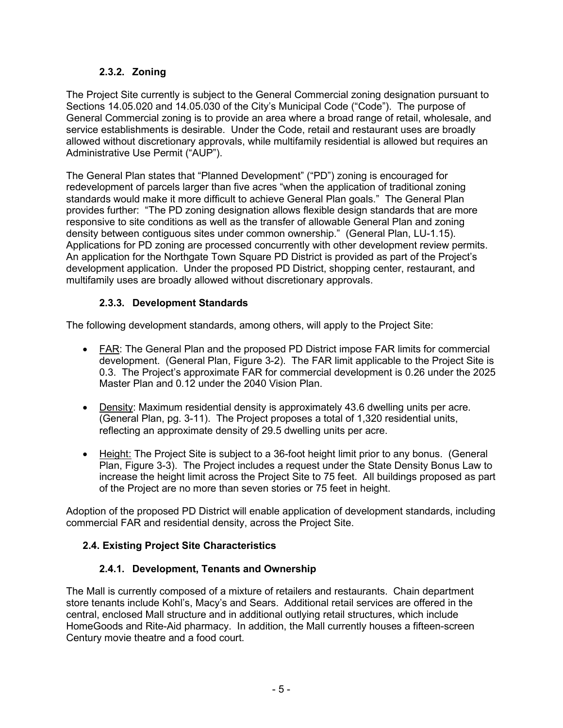### **2.3.2. Zoning**

The Project Site currently is subject to the General Commercial zoning designation pursuant to Sections 14.05.020 and 14.05.030 of the City's Municipal Code ("Code"). The purpose of General Commercial zoning is to provide an area where a broad range of retail, wholesale, and service establishments is desirable. Under the Code, retail and restaurant uses are broadly allowed without discretionary approvals, while multifamily residential is allowed but requires an Administrative Use Permit ("AUP").

The General Plan states that "Planned Development" ("PD") zoning is encouraged for redevelopment of parcels larger than five acres "when the application of traditional zoning standards would make it more difficult to achieve General Plan goals." The General Plan provides further: "The PD zoning designation allows flexible design standards that are more responsive to site conditions as well as the transfer of allowable General Plan and zoning density between contiguous sites under common ownership." (General Plan, LU-1.15). Applications for PD zoning are processed concurrently with other development review permits. An application for the Northgate Town Square PD District is provided as part of the Project's development application. Under the proposed PD District, shopping center, restaurant, and multifamily uses are broadly allowed without discretionary approvals.

### **2.3.3. Development Standards**

The following development standards, among others, will apply to the Project Site:

- FAR: The General Plan and the proposed PD District impose FAR limits for commercial development. (General Plan, Figure 3-2). The FAR limit applicable to the Project Site is 0.3. The Project's approximate FAR for commercial development is 0.26 under the 2025 Master Plan and 0.12 under the 2040 Vision Plan.
- Density: Maximum residential density is approximately 43.6 dwelling units per acre. (General Plan, pg. 3-11). The Project proposes a total of 1,320 residential units, reflecting an approximate density of 29.5 dwelling units per acre.
- Height: The Project Site is subject to a 36-foot height limit prior to any bonus. (General Plan, Figure 3-3). The Project includes a request under the State Density Bonus Law to increase the height limit across the Project Site to 75 feet. All buildings proposed as part of the Project are no more than seven stories or 75 feet in height.

Adoption of the proposed PD District will enable application of development standards, including commercial FAR and residential density, across the Project Site.

### **2.4. Existing Project Site Characteristics**

### **2.4.1. Development, Tenants and Ownership**

The Mall is currently composed of a mixture of retailers and restaurants. Chain department store tenants include Kohl's, Macy's and Sears. Additional retail services are offered in the central, enclosed Mall structure and in additional outlying retail structures, which include HomeGoods and Rite-Aid pharmacy. In addition, the Mall currently houses a fifteen-screen Century movie theatre and a food court.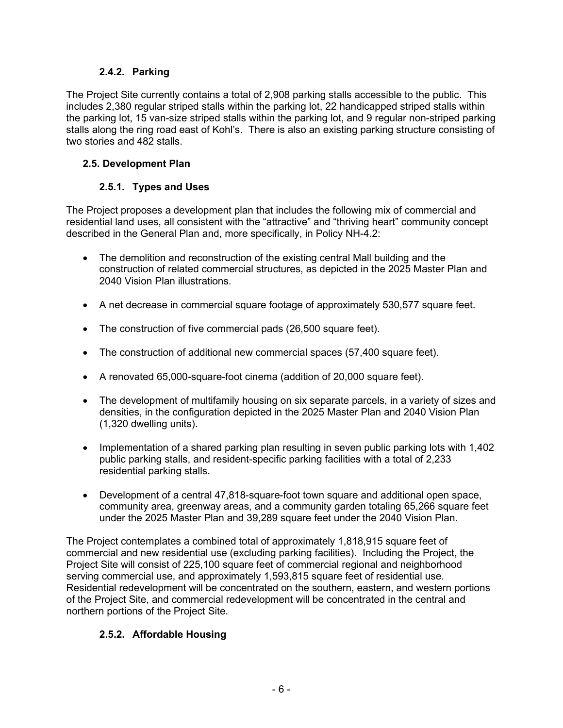### **2.4.2. Parking**

The Project Site currently contains a total of 2,908 parking stalls accessible to the public. This includes 2,380 regular striped stalls within the parking lot, 22 handicapped striped stalls within the parking lot, 15 van-size striped stalls within the parking lot, and 9 regular non-striped parking stalls along the ring road east of Kohl's. There is also an existing parking structure consisting of two stories and 482 stalls.

### **2.5. Development Plan**

## **2.5.1. Types and Uses**

The Project proposes a development plan that includes the following mix of commercial and residential land uses, all consistent with the "attractive" and "thriving heart" community concept described in the General Plan and, more specifically, in Policy NH-4.2:

- The demolition and reconstruction of the existing central Mall building and the construction of related commercial structures, as depicted in the 2025 Master Plan and 2040 Vision Plan illustrations.
- A net decrease in commercial square footage of approximately 530,577 square feet.
- The construction of five commercial pads (26,500 square feet).
- The construction of additional new commercial spaces (57,400 square feet).
- A renovated 65,000-square-foot cinema (addition of 20,000 square feet).
- The development of multifamily housing on six separate parcels, in a variety of sizes and densities, in the configuration depicted in the 2025 Master Plan and 2040 Vision Plan (1,320 dwelling units).
- Implementation of a shared parking plan resulting in seven public parking lots with 1,402 public parking stalls, and resident-specific parking facilities with a total of 2,233 residential parking stalls.
- Development of a central 47,818-square-foot town square and additional open space, community area, greenway areas, and a community garden totaling 65,266 square feet under the 2025 Master Plan and 39,289 square feet under the 2040 Vision Plan.

The Project contemplates a combined total of approximately 1,818,915 square feet of commercial and new residential use (excluding parking facilities). Including the Project, the Project Site will consist of 225,100 square feet of commercial regional and neighborhood serving commercial use, and approximately 1,593,815 square feet of residential use. Residential redevelopment will be concentrated on the southern, eastern, and western portions of the Project Site, and commercial redevelopment will be concentrated in the central and northern portions of the Project Site.

### **2.5.2. Affordable Housing**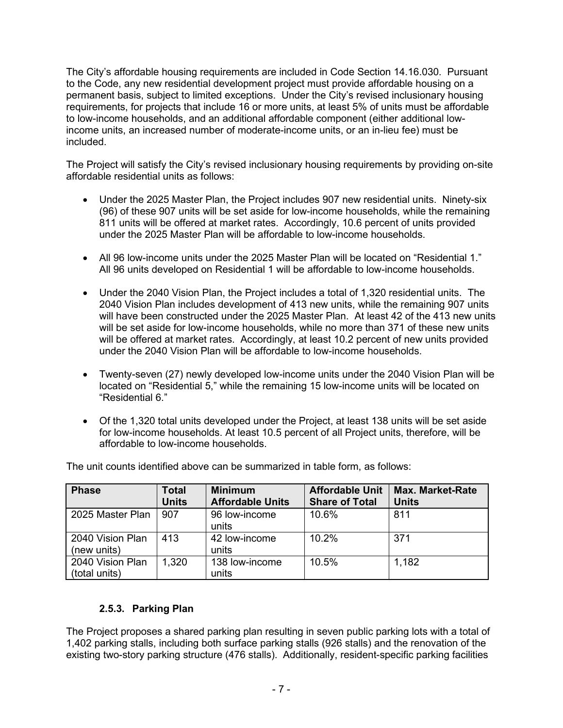The City's affordable housing requirements are included in Code Section 14.16.030. Pursuant to the Code, any new residential development project must provide affordable housing on a permanent basis, subject to limited exceptions. Under the City's revised inclusionary housing requirements, for projects that include 16 or more units, at least 5% of units must be affordable to low-income households, and an additional affordable component (either additional lowincome units, an increased number of moderate-income units, or an in-lieu fee) must be included.

The Project will satisfy the City's revised inclusionary housing requirements by providing on-site affordable residential units as follows:

- Under the 2025 Master Plan, the Project includes 907 new residential units. Ninety-six (96) of these 907 units will be set aside for low-income households, while the remaining 811 units will be offered at market rates. Accordingly, 10.6 percent of units provided under the 2025 Master Plan will be affordable to low-income households.
- All 96 low-income units under the 2025 Master Plan will be located on "Residential 1." All 96 units developed on Residential 1 will be affordable to low-income households.
- Under the 2040 Vision Plan, the Project includes a total of 1,320 residential units. The 2040 Vision Plan includes development of 413 new units, while the remaining 907 units will have been constructed under the 2025 Master Plan. At least 42 of the 413 new units will be set aside for low-income households, while no more than 371 of these new units will be offered at market rates. Accordingly, at least 10.2 percent of new units provided under the 2040 Vision Plan will be affordable to low-income households.
- Twenty-seven (27) newly developed low-income units under the 2040 Vision Plan will be located on "Residential 5," while the remaining 15 low-income units will be located on "Residential 6."
- Of the 1,320 total units developed under the Project, at least 138 units will be set aside for low-income households. At least 10.5 percent of all Project units, therefore, will be affordable to low-income households.

| <b>Phase</b>                      | <b>Total</b><br><b>Units</b> | <b>Minimum</b><br><b>Affordable Units</b> | <b>Affordable Unit</b><br><b>Share of Total</b> | <b>Max. Market-Rate</b><br><b>Units</b> |
|-----------------------------------|------------------------------|-------------------------------------------|-------------------------------------------------|-----------------------------------------|
| 2025 Master Plan                  | 907                          | 96 low-income<br>units                    | 10.6%                                           | 811                                     |
| 2040 Vision Plan<br>(new units)   | 413                          | 42 low-income<br>units                    | 10.2%                                           | 371                                     |
| 2040 Vision Plan<br>(total units) | 1,320                        | 138 low-income<br>units                   | 10.5%                                           | 1,182                                   |

The unit counts identified above can be summarized in table form, as follows:

### **2.5.3. Parking Plan**

The Project proposes a shared parking plan resulting in seven public parking lots with a total of 1,402 parking stalls, including both surface parking stalls (926 stalls) and the renovation of the existing two-story parking structure (476 stalls). Additionally, resident-specific parking facilities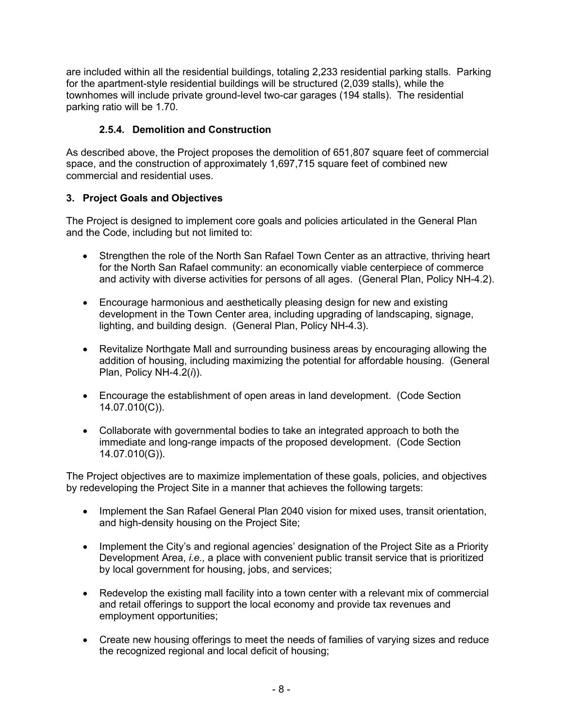are included within all the residential buildings, totaling 2,233 residential parking stalls. Parking for the apartment-style residential buildings will be structured (2,039 stalls), while the townhomes will include private ground-level two-car garages (194 stalls). The residential parking ratio will be 1.70.

## **2.5.4. Demolition and Construction**

As described above, the Project proposes the demolition of 651,807 square feet of commercial space, and the construction of approximately 1,697,715 square feet of combined new commercial and residential uses.

### **3. Project Goals and Objectives**

The Project is designed to implement core goals and policies articulated in the General Plan and the Code, including but not limited to:

- Strengthen the role of the North San Rafael Town Center as an attractive, thriving heart for the North San Rafael community: an economically viable centerpiece of commerce and activity with diverse activities for persons of all ages. (General Plan, Policy NH-4.2).
- Encourage harmonious and aesthetically pleasing design for new and existing development in the Town Center area, including upgrading of landscaping, signage, lighting, and building design. (General Plan, Policy NH-4.3).
- Revitalize Northgate Mall and surrounding business areas by encouraging allowing the addition of housing, including maximizing the potential for affordable housing. (General Plan, Policy NH-4.2(*i*)).
- Encourage the establishment of open areas in land development. (Code Section 14.07.010(C)).
- Collaborate with governmental bodies to take an integrated approach to both the immediate and long-range impacts of the proposed development. (Code Section 14.07.010(G)).

The Project objectives are to maximize implementation of these goals, policies, and objectives by redeveloping the Project Site in a manner that achieves the following targets:

- Implement the San Rafael General Plan 2040 vision for mixed uses, transit orientation, and high-density housing on the Project Site;
- Implement the City's and regional agencies' designation of the Project Site as a Priority Development Area, *i.e.,* a place with convenient public transit service that is prioritized by local government for housing, jobs, and services;
- Redevelop the existing mall facility into a town center with a relevant mix of commercial and retail offerings to support the local economy and provide tax revenues and employment opportunities;
- Create new housing offerings to meet the needs of families of varying sizes and reduce the recognized regional and local deficit of housing;